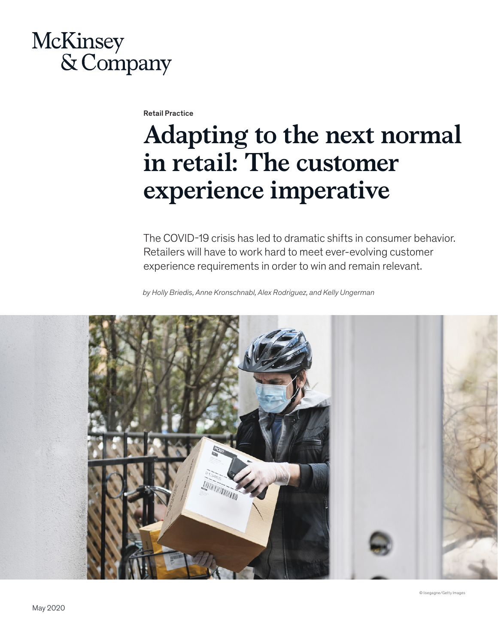# McKinsey & Company

Retail Practice

# **Adapting to the next normal in retail: The customer experience imperative**

The COVID-19 crisis has led to dramatic shifts in consumer behavior. Retailers will have to work hard to meet ever-evolving customer experience requirements in order to win and remain relevant.

*by Holly Briedis, Anne Kronschnabl, Alex Rodriguez, and Kelly Ungerman*

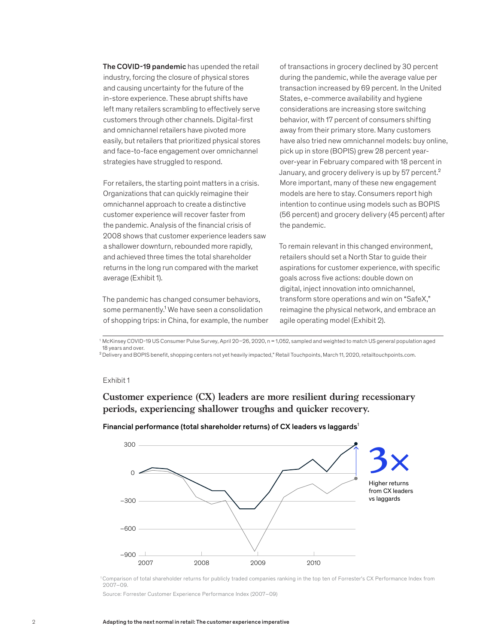The COVID-19 pandemic has upended the retail industry, forcing the closure of physical stores and causing uncertainty for the future of the in-store experience. These abrupt shifts have left many retailers scrambling to effectively serve customers through other channels. Digital-first and omnichannel retailers have pivoted more easily, but retailers that prioritized physical stores and face-to-face engagement over omnichannel strategies have struggled to respond.

For retailers, the starting point matters in a crisis. Organizations that can quickly reimagine their omnichannel approach to create a distinctive customer experience will recover faster from the pandemic. Analysis of the financial crisis of 2008 shows that customer experience leaders saw a shallower downturn, rebounded more rapidly, and achieved three times the total shareholder returns in the long run compared with the market average (Exhibit 1).

some permanently.<sup>1</sup> We have seen a consolidation of shopping trips: in China, for example, the number The pandemic has changed consumer behaviors,

of transactions in grocery declined by 30 percent during the pandemic, while the average value per transaction increased by 69 percent. In the United States, e-commerce availability and hygiene considerations are increasing store switching behavior, with 17 percent of consumers shifting away from their primary store. Many customers have also tried new omnichannel models: buy online, pick up in store (BOPIS) grew 28 percent yearover-year in February compared with 18 percent in January, and grocery delivery is up by 57 percent.<sup>2</sup> More important, many of these new engagement models are here to stay. Consumers report high intention to continue using models such as BOPIS (56 percent) and grocery delivery (45 percent) after the pandemic.

To remain relevant in this changed environment, retailers should set a North Star to guide their aspirations for customer experience, with specific goals across five actions: double down on digital, inject innovation into omnichannel, transform store operations and win on "SafeX," reimagine the physical network, and embrace an agile operating model (Exhibit 2).

<sup>1</sup> McKinsey COVID-19 US Consumer Pulse Survey, April 20–26, 2020, n = 1,052, sampled and weighted to match US general population aged 18 years and over.

²Delivery and BOPIS benefit, shopping centers not yet heavily impacted," Retail Touchpoints, March 11, 2020, retailtouchpoints.com.

#### Exhibit 1

**Customer experience (CX) leaders are more resilient during recessionary periods, experiencing shallower troughs and quicker recovery.**



Financial performance (total shareholder returns) of CX leaders vs laggards<sup>1</sup>

1 Comparison of total shareholder returns for publicly traded companies ranking in the top ten of Forrester's CX Performance Index from 2007–09.

Source: Forrester Customer Experience Performance Index (2007–09)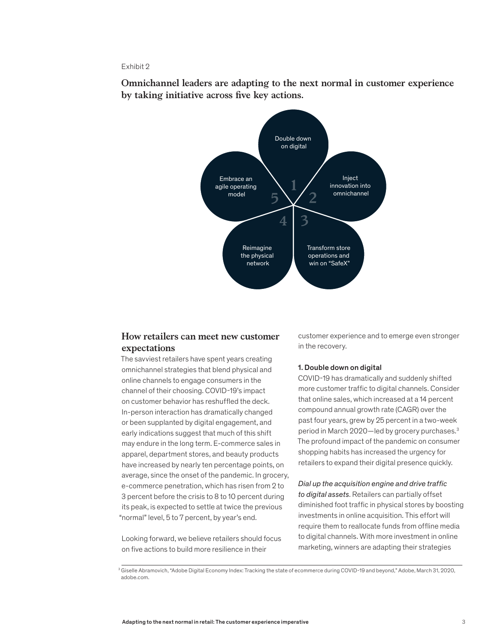#### Exhibit 2

**Omnichannel leaders are adapting to the next normal in customer experience**  by taking initiative across five key actions.



## **How retailers can meet new customer expectations**

The savviest retailers have spent years creating omnichannel strategies that blend physical and online channels to engage consumers in the channel of their choosing. COVID-19's impact on customer behavior has reshuffled the deck. In-person interaction has dramatically changed or been supplanted by digital engagement, and early indications suggest that much of this shift may endure in the long term. E-commerce sales in apparel, department stores, and beauty products have increased by nearly ten percentage points, on average, since the onset of the pandemic. In grocery, e-commerce penetration, which has risen from 2 to 3 percent before the crisis to 8 to 10 percent during its peak, is expected to settle at twice the previous "normal" level, 5 to 7 percent, by year's end.

Looking forward, we believe retailers should focus on five actions to build more resilience in their

customer experience and to emerge even stronger in the recovery.

#### 1. Double down on digital

COVID-19 has dramatically and suddenly shifted more customer traffic to digital channels. Consider that online sales, which increased at a 14 percent compound annual growth rate (CAGR) over the past four years, grew by 25 percent in a two-week period in March 2020—led by grocery purchases.3 The profound impact of the pandemic on consumer shopping habits has increased the urgency for retailers to expand their digital presence quickly.

*Dial up the acquisition engine and drive traffic to digital assets*. Retailers can partially offset diminished foot traffic in physical stores by boosting investments in online acquisition. This effort will require them to reallocate funds from offline media to digital channels. With more investment in online marketing, winners are adapting their strategies

<sup>&</sup>lt;sup>3</sup> Giselle Abramovich, "Adobe Digital Economy Index: Tracking the state of ecommerce during COVID-19 and beyond," Adobe, March 31, 2020, adobe.com.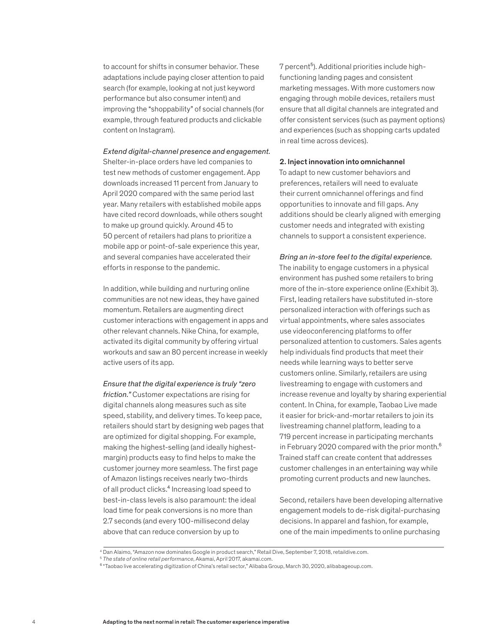to account for shifts in consumer behavior. These adaptations include paying closer attention to paid search (for example, looking at not just keyword performance but also consumer intent) and improving the "shoppability" of social channels (for example, through featured products and clickable content on Instagram).

#### *Extend digital-channel presence and engagement.*

Shelter-in-place orders have led companies to test new methods of customer engagement. App downloads increased 11 percent from January to April 2020 compared with the same period last year. Many retailers with established mobile apps have cited record downloads, while others sought to make up ground quickly. Around 45 to 50 percent of retailers had plans to prioritize a mobile app or point-of-sale experience this year, and several companies have accelerated their efforts in response to the pandemic.

In addition, while building and nurturing online communities are not new ideas, they have gained momentum. Retailers are augmenting direct customer interactions with engagement in apps and other relevant channels. Nike China, for example, activated its digital community by offering virtual workouts and saw an 80 percent increase in weekly active users of its app.

*Ensure that the digital experience is truly "zero friction."* Customer expectations are rising for digital channels along measures such as site speed, stability, and delivery times. To keep pace, retailers should start by designing web pages that are optimized for digital shopping. For example, making the highest-selling (and ideally highestmargin) products easy to find helps to make the customer journey more seamless. The first page of Amazon listings receives nearly two-thirds of all product clicks.<sup>4</sup> Increasing load speed to best-in-class levels is also paramount: the ideal load time for peak conversions is no more than 2.7 seconds (and every 100-millisecond delay above that can reduce conversion by up to

7 percent<sup>5</sup>). Additional priorities include highfunctioning landing pages and consistent marketing messages. With more customers now engaging through mobile devices, retailers must ensure that all digital channels are integrated and offer consistent services (such as payment options) and experiences (such as shopping carts updated in real time across devices).

#### 2. Inject innovation into omnichannel

To adapt to new customer behaviors and preferences, retailers will need to evaluate their current omnichannel offerings and find opportunities to innovate and fill gaps. Any additions should be clearly aligned with emerging customer needs and integrated with existing channels to support a consistent experience.

*Bring an in-store feel to the digital experience.* The inability to engage customers in a physical environment has pushed some retailers to bring more of the in-store experience online (Exhibit 3). First, leading retailers have substituted in-store personalized interaction with offerings such as virtual appointments, where sales associates use videoconferencing platforms to offer personalized attention to customers. Sales agents help individuals find products that meet their needs while learning ways to better serve customers online. Similarly, retailers are using livestreaming to engage with customers and increase revenue and loyalty by sharing experiential content. In China, for example, Taobao Live made it easier for brick-and-mortar retailers to join its livestreaming channel platform, leading to a 719 percent increase in participating merchants in February 2020 compared with the prior month.<sup>6</sup> Trained staff can create content that addresses customer challenges in an entertaining way while promoting current products and new launches.

Second, retailers have been developing alternative engagement models to de-risk digital-purchasing decisions. In apparel and fashion, for example, one of the main impediments to online purchasing

<sup>4</sup> Dan Alaimo, "Amazon now dominates Google in product search," Retail Dive, September 7, 2018, retaildive.com.

<sup>5</sup> *The state of online retail performance*, Akamai, April 2017, akamai.com.

<sup>&</sup>lt;sup>6</sup> "Taobao live accelerating digitization of China's retail sector," Alibaba Group, March 30, 2020, alibabageoup.com.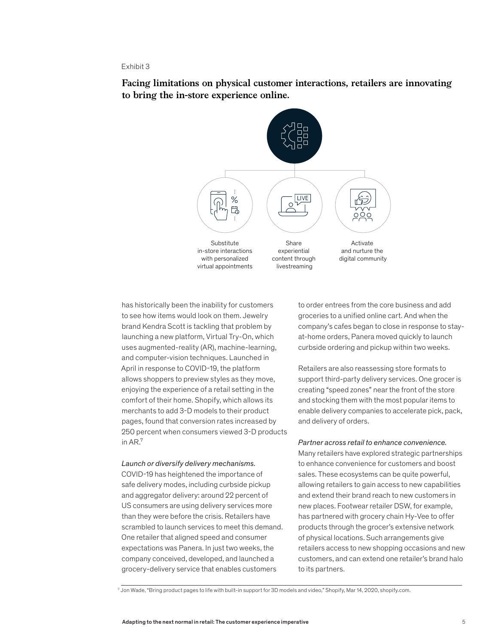#### Exhibit 3

**Facing limitations on physical customer interactions, retailers are innovating to bring the in-store experience online.**



has historically been the inability for customers to see how items would look on them. Jewelry brand Kendra Scott is tackling that problem by launching a new platform, Virtual Try-On, which uses augmented-reality (AR), machine-learning, and computer-vision techniques. Launched in April in response to COVID-19, the platform allows shoppers to preview styles as they move, enjoying the experience of a retail setting in the comfort of their home. Shopify, which allows its merchants to add 3-D models to their product pages, found that conversion rates increased by 250 percent when consumers viewed 3-D products in AR.<sup>7</sup>

#### *Launch or diversify delivery mechanisms.*

COVID-19 has heightened the importance of safe delivery modes, including curbside pickup and aggregator delivery: around 22 percent of US consumers are using delivery services more than they were before the crisis. Retailers have scrambled to launch services to meet this demand. One retailer that aligned speed and consumer expectations was Panera. In just two weeks, the company conceived, developed, and launched a grocery-delivery service that enables customers

to order entrees from the core business and add groceries to a unified online cart. And when the company's cafes began to close in response to stayat-home orders, Panera moved quickly to launch curbside ordering and pickup within two weeks.

Retailers are also reassessing store formats to support third-party delivery services. One grocer is creating "speed zones" near the front of the store and stocking them with the most popular items to enable delivery companies to accelerate pick, pack, and delivery of orders.

#### *Partner across retail to enhance convenience.*

Many retailers have explored strategic partnerships to enhance convenience for customers and boost sales. These ecosystems can be quite powerful, allowing retailers to gain access to new capabilities and extend their brand reach to new customers in new places. Footwear retailer DSW, for example, has partnered with grocery chain Hy-Vee to offer products through the grocer's extensive network of physical locations. Such arrangements give retailers access to new shopping occasions and new customers, and can extend one retailer's brand halo to its partners.

<sup>7</sup> Jon Wade, "Bring product pages to life with built-in support for 3D models and video," Shopify, Mar 14, 2020, shopify.com.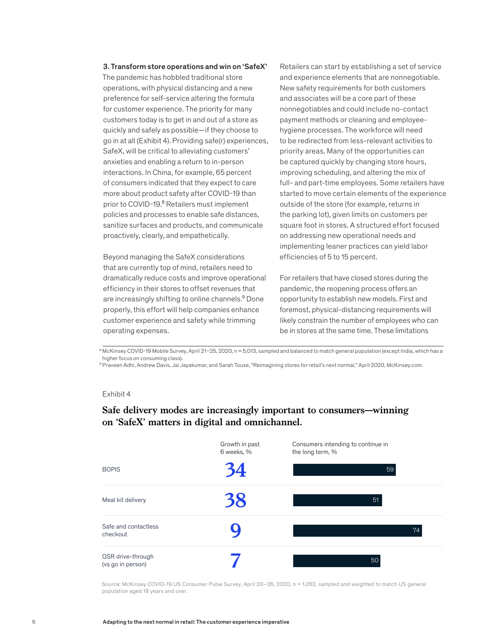#### 3. Transform store operations and win on 'SafeX'

The pandemic has hobbled traditional store operations, with physical distancing and a new preference for self-service altering the formula for customer experience. The priority for many customers today is to get in and out of a store as quickly and safely as possible—if they choose to go in at all (Exhibit 4). Providing safe(r) experiences, SafeX, will be critical to alleviating customers' anxieties and enabling a return to in-person interactions. In China, for example, 65 percent of consumers indicated that they expect to care more about product safety after COVID-19 than prior to COVID-19.<sup>8</sup> Retailers must implement policies and processes to enable safe distances, sanitize surfaces and products, and communicate proactively, clearly, and empathetically.

Beyond managing the SafeX considerations that are currently top of mind, retailers need to dramatically reduce costs and improve operational efficiency in their stores to offset revenues that are increasingly shifting to online channels.<sup>9</sup> Done properly, this effort will help companies enhance customer experience and safety while trimming operating expenses.

Retailers can start by establishing a set of service and experience elements that are nonnegotiable. New safety requirements for both customers and associates will be a core part of these nonnegotiables and could include no-contact payment methods or cleaning and employeehygiene processes. The workforce will need to be redirected from less-relevant activities to priority areas. Many of the opportunities can be captured quickly by changing store hours, improving scheduling, and altering the mix of full- and part-time employees. Some retailers have started to move certain elements of the experience outside of the store (for example, returns in the parking lot), given limits on customers per square foot in stores. A structured effort focused on addressing new operational needs and implementing leaner practices can yield labor efficiencies of 5 to 15 percent.

For retailers that have closed stores during the pandemic, the reopening process offers an opportunity to establish new models. First and foremost, physical-distancing requirements will likely constrain the number of employees who can be in stores at the same time. These limitations

8 McKinsey COVID-19 Mobile Survey, April 21–25, 2020, n = 5,013, sampled and balanced to match general population (except India, which has a higher focus on consuming class).

9 Praveen Adhi, Andrew Davis, Jai Jayakumar, and Sarah Touse, "Reimagining stores for retail's next normal," April 2020, McKinsey.com.

#### Exhibit 4

Exhibit 4 of 5

## **Safe delivery modes are increasingly important to consumers—winning on 'SafeX' matters in digital and omnichannel.**

|                                        | Growth in past<br>6 weeks, % | Consumers intending to continue in<br>the long term, % |
|----------------------------------------|------------------------------|--------------------------------------------------------|
| <b>BOPIS</b>                           | 34                           | 59                                                     |
| Meal kit delivery                      | 38                           | 51                                                     |
| Safe and contactless<br>checkout       |                              | 74                                                     |
| QSR drive-through<br>(vs go in person) |                              | 50                                                     |

Source: McKinsey COVID-19 US Consumer Pulse Survey, April 20–26, 2020, n = 1,052, sampled and weighted to match US general population aged 18 years and over.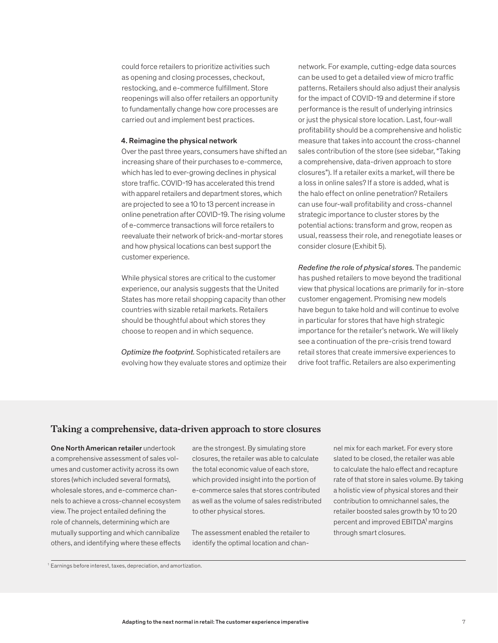could force retailers to prioritize activities such as opening and closing processes, checkout, restocking, and e-commerce fulfillment. Store reopenings will also offer retailers an opportunity to fundamentally change how core processes are carried out and implement best practices.

#### 4. Reimagine the physical network

Over the past three years, consumers have shifted an increasing share of their purchases to e-commerce, which has led to ever-growing declines in physical store traffic. COVID-19 has accelerated this trend with apparel retailers and department stores, which are projected to see a 10 to 13 percent increase in online penetration after COVID-19. The rising volume of e-commerce transactions will force retailers to reevaluate their network of brick-and-mortar stores and how physical locations can best support the customer experience.

While physical stores are critical to the customer experience, our analysis suggests that the United States has more retail shopping capacity than other countries with sizable retail markets. Retailers should be thoughtful about which stores they choose to reopen and in which sequence.

*Optimize the footprint.* Sophisticated retailers are evolving how they evaluate stores and optimize their network. For example, cutting-edge data sources can be used to get a detailed view of micro traffic patterns. Retailers should also adjust their analysis for the impact of COVID-19 and determine if store performance is the result of underlying intrinsics or just the physical store location. Last, four-wall profitability should be a comprehensive and holistic measure that takes into account the cross-channel sales contribution of the store (see sidebar, "Taking a comprehensive, data-driven approach to store closures"). If a retailer exits a market, will there be a loss in online sales? If a store is added, what is the halo effect on online penetration? Retailers can use four-wall profitability and cross-channel strategic importance to cluster stores by the potential actions: transform and grow, reopen as usual, reassess their role, and renegotiate leases or consider closure (Exhibit 5).

*Redefine the role of physical stores.* The pandemic has pushed retailers to move beyond the traditional view that physical locations are primarily for in-store customer engagement. Promising new models have begun to take hold and will continue to evolve in particular for stores that have high strategic importance for the retailer's network. We will likely see a continuation of the pre-crisis trend toward retail stores that create immersive experiences to drive foot traffic. Retailers are also experimenting

### **Taking a comprehensive, data-driven approach to store closures**

One North American retailer undertook a comprehensive assessment of sales volumes and customer activity across its own stores (which included several formats), wholesale stores, and e-commerce channels to achieve a cross-channel ecosystem view. The project entailed defining the role of channels, determining which are mutually supporting and which cannibalize others, and identifying where these effects

are the strongest. By simulating store closures, the retailer was able to calculate the total economic value of each store, which provided insight into the portion of e-commerce sales that stores contributed as well as the volume of sales redistributed to other physical stores.

The assessment enabled the retailer to identify the optimal location and channel mix for each market. For every store slated to be closed, the retailer was able to calculate the halo effect and recapture rate of that store in sales volume. By taking a holistic view of physical stores and their contribution to omnichannel sales, the retailer boosted sales growth by 10 to 20 percent and improved EBITDA<sup>1</sup> margins through smart closures.

 $1$  Earnings before interest, taxes, depreciation, and amortization.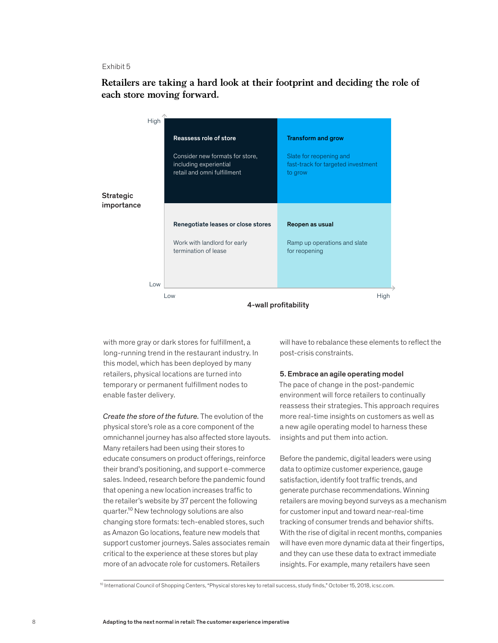#### Exhibit 5

**Retailers are taking a hard look at their footprint and deciding the role of each store moving forward.**

|                                | High |                                                                                          |                                                                          |  |  |
|--------------------------------|------|------------------------------------------------------------------------------------------|--------------------------------------------------------------------------|--|--|
|                                |      | Reassess role of store                                                                   | <b>Transform and grow</b>                                                |  |  |
|                                |      | Consider new formats for store,<br>including experiential<br>retail and omni fulfillment | Slate for reopening and<br>fast-track for targeted investment<br>to grow |  |  |
| <b>Strategic</b><br>importance |      |                                                                                          |                                                                          |  |  |
|                                |      |                                                                                          |                                                                          |  |  |
|                                |      | Renegotiate leases or close stores                                                       | Reopen as usual                                                          |  |  |
|                                |      | Work with landlord for early<br>termination of lease                                     | Ramp up operations and slate<br>for reopening                            |  |  |
|                                |      |                                                                                          |                                                                          |  |  |
|                                | Low  |                                                                                          |                                                                          |  |  |
|                                |      | Low                                                                                      | High                                                                     |  |  |
|                                |      | 4-wall profitability                                                                     |                                                                          |  |  |

with more gray or dark stores for fulfillment, a long-running trend in the restaurant industry. In this model, which has been deployed by many retailers, physical locations are turned into temporary or permanent fulfillment nodes to enable faster delivery.

*Create the store of the future.* The evolution of the physical store's role as a core component of the omnichannel journey has also affected store layouts. Many retailers had been using their stores to educate consumers on product offerings, reinforce their brand's positioning, and support e-commerce sales. Indeed, research before the pandemic found that opening a new location increases traffic to the retailer's website by 37 percent the following quarter.<sup>10</sup> New technology solutions are also changing store formats: tech-enabled stores, such as Amazon Go locations, feature new models that support customer journeys. Sales associates remain critical to the experience at these stores but play more of an advocate role for customers. Retailers

will have to rebalance these elements to reflect the post-crisis constraints.

#### 5. Embrace an agile operating model

The pace of change in the post-pandemic environment will force retailers to continually reassess their strategies. This approach requires more real-time insights on customers as well as a new agile operating model to harness these insights and put them into action.

Before the pandemic, digital leaders were using data to optimize customer experience, gauge satisfaction, identify foot traffic trends, and generate purchase recommendations. Winning retailers are moving beyond surveys as a mechanism for customer input and toward near-real-time tracking of consumer trends and behavior shifts. With the rise of digital in recent months, companies will have even more dynamic data at their fingertips, and they can use these data to extract immediate insights. For example, many retailers have seen

<sup>10</sup> International Council of Shopping Centers, "Physical stores key to retail success, study finds," October 15, 2018, icsc.com.